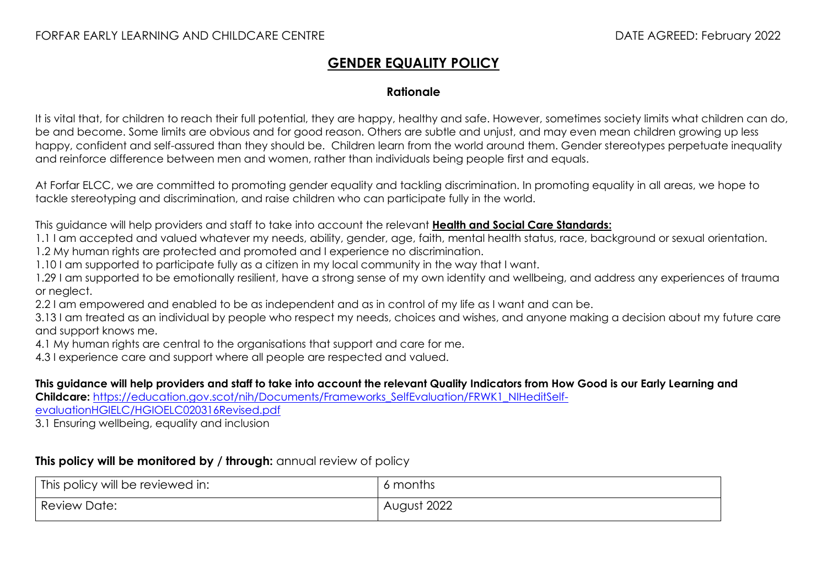## **GENDER EQUALITY POLICY**

## **Rationale**

It is vital that, for children to reach their full potential, they are happy, healthy and safe. However, sometimes society limits what children can do, be and become. Some limits are obvious and for good reason. Others are subtle and unjust, and may even mean children growing up less happy, confident and self-assured than they should be. Children learn from the world around them. Gender stereotypes perpetuate inequality and reinforce difference between men and women, rather than individuals being people first and equals.

At Forfar ELCC, we are committed to promoting gender equality and tackling discrimination. In promoting equality in all areas, we hope to tackle stereotyping and discrimination, and raise children who can participate fully in the world.

This guidance will help providers and staff to take into account the relevant **[Health and Social Care Standards:](https://www.gov.scot/binaries/content/documents/govscot/publications/advice-and-guidance/2017/06/health-social-care-standards-support-life/documents/00520693-pdf/00520693-pdf/govscot%3Adocument/00520693.pdf)**

1.1 I am accepted and valued whatever my needs, ability, gender, age, faith, mental health status, race, background or sexual orientation.

1.2 My human rights are protected and promoted and I experience no discrimination.

1.10 I am supported to participate fully as a citizen in my local community in the way that I want.

1.29 I am supported to be emotionally resilient, have a strong sense of my own identity and wellbeing, and address any experiences of trauma or neglect.

2.2 I am empowered and enabled to be as independent and as in control of my life as I want and can be.

3.13 I am treated as an individual by people who respect my needs, choices and wishes, and anyone making a decision about my future care and support knows me.

4.1 My human rights are central to the organisations that support and care for me.

4.3 I experience care and support where all people are respected and valued.

**This guidance will help providers and staff to take into account the relevant Quality Indicators from How Good is our Early Learning and Childcare:** [https://education.gov.scot/nih/Documents/Frameworks\\_SelfEvaluation/FRWK1\\_NIHeditSelf-](https://education.gov.scot/nih/Documents/Frameworks_SelfEvaluation/FRWK1_NIHeditSelf-evaluationHGIELC/HGIOELC020316Revised.pdf)

[evaluationHGIELC/HGIOELC020316Revised.pdf](https://education.gov.scot/nih/Documents/Frameworks_SelfEvaluation/FRWK1_NIHeditSelf-evaluationHGIELC/HGIOELC020316Revised.pdf)

3.1 Ensuring wellbeing, equality and inclusion

## **This policy will be monitored by / through:** annual review of policy

| This policy will be reviewed in: | 6 months    |
|----------------------------------|-------------|
| Review Date:                     | August 2022 |